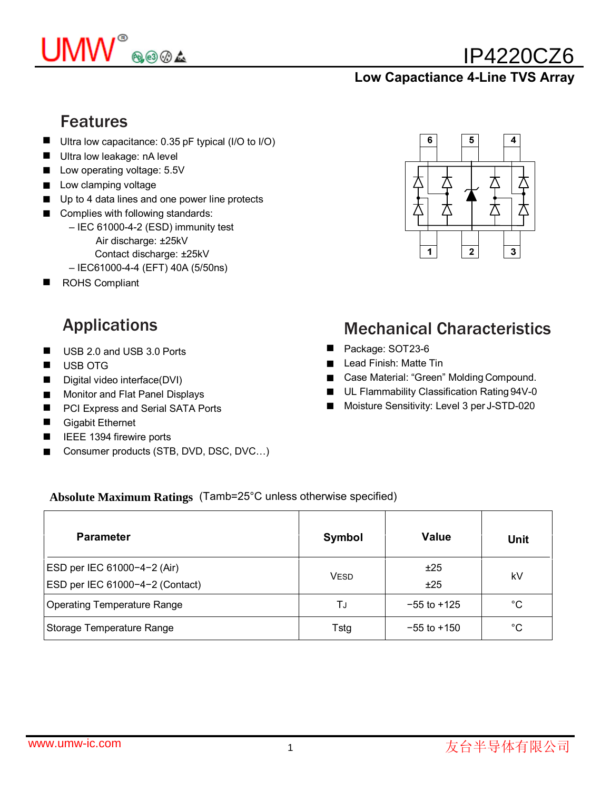

# IP4220CZ6

#### **Low Capactiance 4-Line TVS Array**

#### Features

- Ultra low capacitance: 0.35 pF typical (I/O to I/O)
- Ultra low leakage: nA level
- Low operating voltage: 5.5V
- Low clamping voltage
- Up to 4 data lines and one power line protects
- Complies with following standards:
	- IEC 61000-4-2 (ESD) immunity test Air discharge: ±25kV Contact discharge: ±25kV
	- IEC61000-4-4 (EFT) 40A (5/50ns)
- ROHS Compliant ■

- USB 2.0 and USB 3.0 Ports ■
- USB OTG ■
- Digital video interface(DVI) ■
- Monitor and Flat Panel Displays ■
- PCI Express and Serial SATA Ports ■
- Gigabit Ethernet ■
- IEEE 1394 firewire ports
- Consumer products (STB, DVD, DSC, DVC…) ■



## Applications Mechanical Characteristics

- Package: SOT23-6
- Lead Finish: Matte Tin
- Case Material: "Green" Molding Compound.
- UL Flammability Classification Rating 94V-0
- Moisture Sensitivity: Level 3 per J-STD-020 ■

#### **Absolute Maximum Ratings** (Tamb=25°C unless otherwise specified)

| <b>Parameter</b>                                               | Symbol      | <b>Value</b>    | <b>Unit</b>  |
|----------------------------------------------------------------|-------------|-----------------|--------------|
| ESD per IEC 61000-4-2 (Air)<br>ESD per IEC 61000-4-2 (Contact) | <b>VESD</b> | ±25<br>±25      | kV           |
| Operating Temperature Range                                    | TJ          | $-55$ to $+125$ | $^{\circ}$ C |
| Storage Temperature Range                                      | Tstg        | $-55$ to $+150$ | $^{\circ}$ C |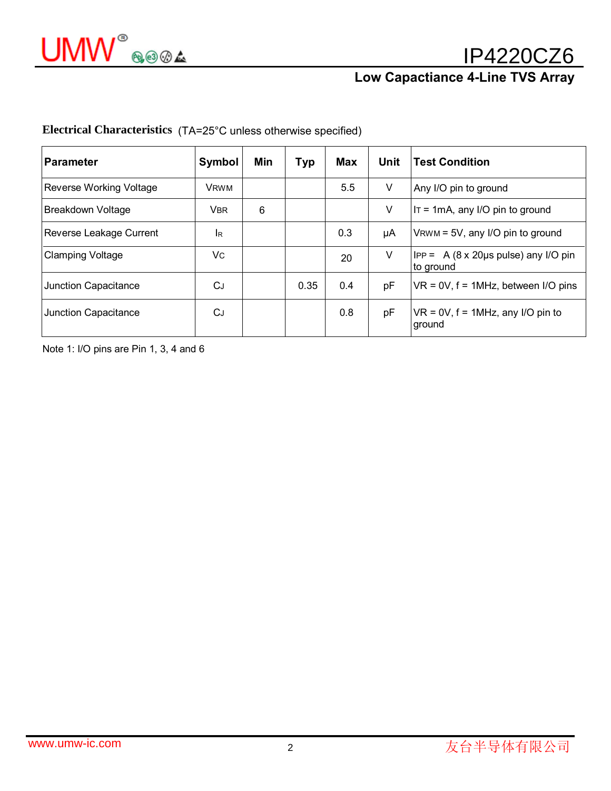# IP4220CZ6

## **Low Capactiance 4-Line TVS Array**

| Parameter                      | Symbol      | Min | <b>Typ</b> | Max | Unit | <b>Test Condition</b>                                  |
|--------------------------------|-------------|-----|------------|-----|------|--------------------------------------------------------|
| <b>Reverse Working Voltage</b> | <b>VRWM</b> |     |            | 5.5 | V    | Any I/O pin to ground                                  |
| Breakdown Voltage              | <b>VBR</b>  | 6   |            |     | V    | $IT = 1mA$ , any I/O pin to ground                     |
| Reverse Leakage Current        | IR          |     |            | 0.3 | μA   | $V$ RWM = 5V, any I/O pin to ground                    |
| <b>Clamping Voltage</b>        | Vc          |     |            | 20  | V    | $ $ IPP = 3A (8 x 20µs pulse) any I/O pin<br>to ground |
| Junction Capacitance           | СJ          |     | 0.35       | 0.4 | pF   | $VR = 0V$ , $f = 1MHz$ , between I/O pins              |
| Junction Capacitance           | CJ          |     |            | 0.8 | pF   | $VR = 0V$ , $f = 1MHz$ , any I/O pin to<br>around      |

**Electrical Characteristics** (TA=25°C unless otherwise specified)

Note 1: I/O pins are Pin 1, 3, 4 and 6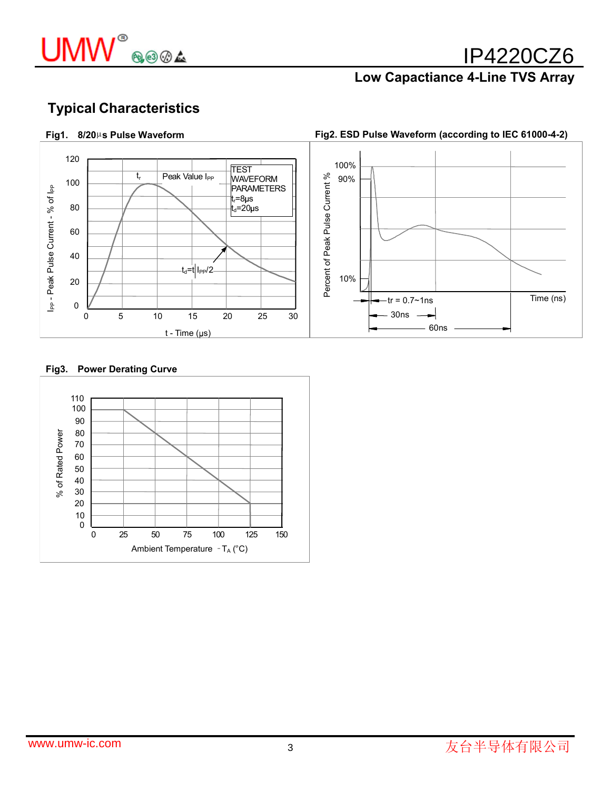

## IP4220CZ6

#### **Low Capactiance 4-Line TVS Array**

#### **Fig1. 8/20**µ**s Pulse Waveform**

**Fig2. ESD Pulse Waveform (according to IEC 61000-4-2)**



#### **Fig3. Power Derating Curve**